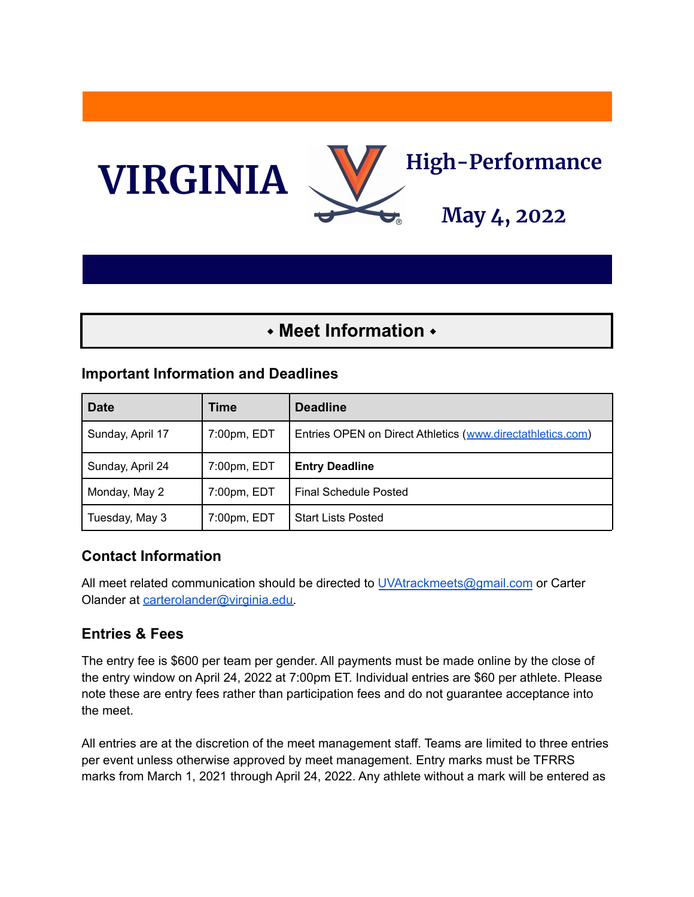

# ⬩ **Meet Information** ⬩

#### **Important Information and Deadlines**

| <b>Date</b>      | Time        | <b>Deadline</b>                                            |
|------------------|-------------|------------------------------------------------------------|
| Sunday, April 17 | 7:00pm, EDT | Entries OPEN on Direct Athletics (www.directathletics.com) |
| Sunday, April 24 | 7:00pm, EDT | <b>Entry Deadline</b>                                      |
| Monday, May 2    | 7:00pm, EDT | Final Schedule Posted                                      |
| Tuesday, May 3   | 7:00pm, EDT | <b>Start Lists Posted</b>                                  |

#### **Contact Information**

All meet related communication should be directed to [UVAtrackmeets@gmail.com](mailto:UVAtrackmeets@gmail.com) or Carter Olander at [carterolander@virginia.edu.](mailto:carterolander@virginia.edu)

#### **Entries & Fees**

The entry fee is \$600 per team per gender. All payments must be made online by the close of the entry window on April 24, 2022 at 7:00pm ET. Individual entries are \$60 per athlete. Please note these are entry fees rather than participation fees and do not guarantee acceptance into the meet.

All entries are at the discretion of the meet management staff. Teams are limited to three entries per event unless otherwise approved by meet management. Entry marks must be TFRRS marks from March 1, 2021 through April 24, 2022. Any athlete without a mark will be entered as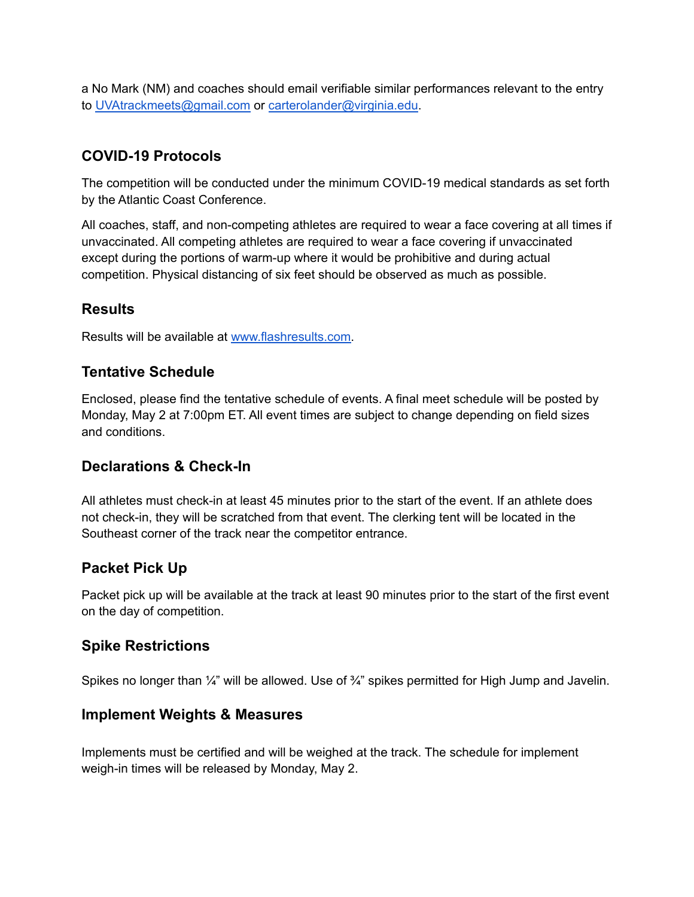a No Mark (NM) and coaches should email verifiable similar performances relevant to the entry to [UVAtrackmeets@gmail.com](mailto:UVAtrackmeets@gmail.com) or [carterolander@virginia.edu](mailto:carterolander@virginia.edu).

### **COVID-19 Protocols**

The competition will be conducted under the minimum COVID-19 medical standards as set forth by the Atlantic Coast Conference.

All coaches, staff, and non-competing athletes are required to wear a face covering at all times if unvaccinated. All competing athletes are required to wear a face covering if unvaccinated except during the portions of warm-up where it would be prohibitive and during actual competition. Physical distancing of six feet should be observed as much as possible.

#### **Results**

Results will be available at [www.flashresults.com.](http://www.flashresults.com)

#### **Tentative Schedule**

Enclosed, please find the tentative schedule of events. A final meet schedule will be posted by Monday, May 2 at 7:00pm ET. All event times are subject to change depending on field sizes and conditions.

#### **Declarations & Check-In**

All athletes must check-in at least 45 minutes prior to the start of the event. If an athlete does not check-in, they will be scratched from that event. The clerking tent will be located in the Southeast corner of the track near the competitor entrance.

#### **Packet Pick Up**

Packet pick up will be available at the track at least 90 minutes prior to the start of the first event on the day of competition.

#### **Spike Restrictions**

Spikes no longer than  $\frac{1}{4}$ " will be allowed. Use of  $\frac{3}{4}$ " spikes permitted for High Jump and Javelin.

#### **Implement Weights & Measures**

Implements must be certified and will be weighed at the track. The schedule for implement weigh-in times will be released by Monday, May 2.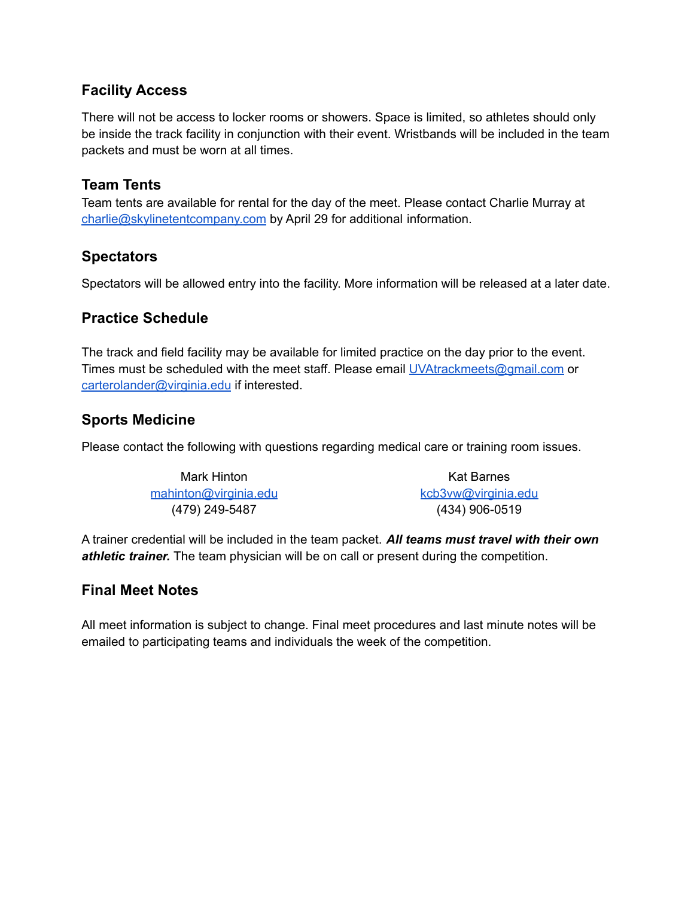#### **Facility Access**

There will not be access to locker rooms or showers. Space is limited, so athletes should only be inside the track facility in conjunction with their event. Wristbands will be included in the team packets and must be worn at all times.

#### **Team Tents**

Team tents are available for rental for the day of the meet. Please contact Charlie Murray at [charlie@skylinetentcompany.com](mailto:charlie@skylinetentcompany.com) by April 29 for additional information.

#### **Spectators**

Spectators will be allowed entry into the facility. More information will be released at a later date.

#### **Practice Schedule**

The track and field facility may be available for limited practice on the day prior to the event. Times must be scheduled with the meet staff. Please email [UVAtrackmeets@gmail.com](mailto:UVAtrackmeets@gmail.com) or [carterolander@virginia.edu](mailto:carterolander@virginia.edu) if interested.

#### **Sports Medicine**

Please contact the following with questions regarding medical care or training room issues.

| Mark Hinton           | Kat Barnes          |
|-----------------------|---------------------|
| mahinton@virginia.edu | kcb3vw@virginia.edu |
| (479) 249-5487        | $(434)$ 906-0519    |

A trainer credential will be included in the team packet. *All teams must travel with their own athletic trainer.* The team physician will be on call or present during the competition.

#### **Final Meet Notes**

All meet information is subject to change. Final meet procedures and last minute notes will be emailed to participating teams and individuals the week of the competition.